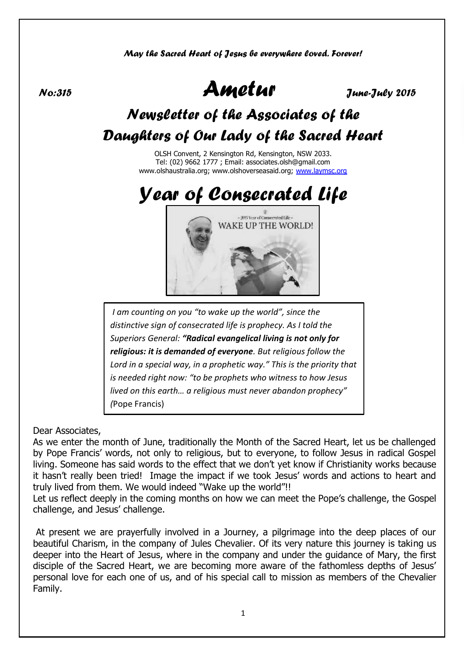*May the Sacred Heart of Jesus be everywhere loved. Forever!*

*No:315 Ametur June-July 2015*

# *Newsletter of the Associates of the Daughters of Our Lady of the Sacred Heart*

OLSH Convent, 2 Kensington Rd, Kensington, NSW 2033. Tel: (02) 9662 1777 ; Email: associates.olsh@gmail.com www.olshaustralia.org; www.olshoverseasaid.org; [www.laymsc.org](http://www.laymsc.org/)



*I am counting on you "to wake up the world", since the distinctive sign of consecrated life is prophecy. As I told the Superiors General: "Radical evangelical living is not only for religious: it is demanded of everyone. But religious follow the Lord in a special way, in a prophetic way." This is the priority that is needed right now: "to be prophets who witness to how Jesus lived on this earth… a religious must never abandon prophecy" (*Pope Francis)

Dear Associates,

As we enter the month of June, traditionally the Month of the Sacred Heart, let us be challenged by Pope Francis' words, not only to religious, but to everyone, to follow Jesus in radical Gospel living. Someone has said words to the effect that we don't yet know if Christianity works because it hasn't really been tried! Image the impact if we took Jesus' words and actions to heart and truly lived from them. We would indeed "Wake up the world"!!

Let us reflect deeply in the coming months on how we can meet the Pope's challenge, the Gospel challenge, and Jesus' challenge.

At present we are prayerfully involved in a Journey, a pilgrimage into the deep places of our beautiful Charism, in the company of Jules Chevalier. Of its very nature this journey is taking us deeper into the Heart of Jesus, where in the company and under the guidance of Mary, the first disciple of the Sacred Heart, we are becoming more aware of the fathomless depths of Jesus' personal love for each one of us, and of his special call to mission as members of the Chevalier Family.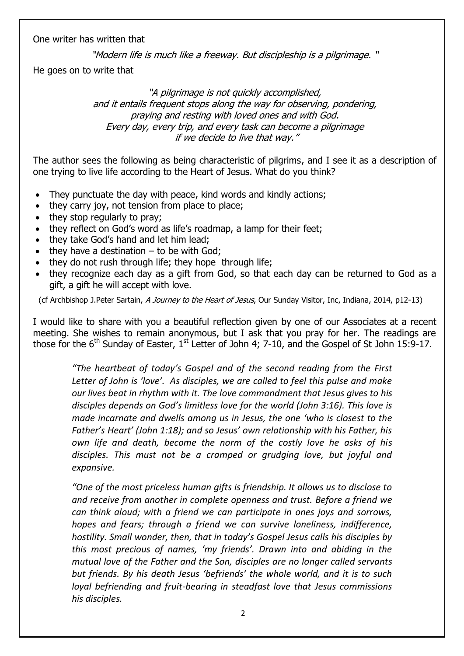One writer has written that

"Modern life is much like a freeway. But discipleship is a pilgrimage. "

He goes on to write that

"A pilgrimage is not quickly accomplished, and it entails frequent stops along the way for observing, pondering, praying and resting with loved ones and with God. Every day, every trip, and every task can become a pilgrimage if we decide to live that way."

The author sees the following as being characteristic of pilgrims, and I see it as a description of one trying to live life according to the Heart of Jesus. What do you think?

- They punctuate the day with peace, kind words and kindly actions;
- they carry joy, not tension from place to place;
- they stop regularly to pray;
- they reflect on God's word as life's roadmap, a lamp for their feet;
- they take God's hand and let him lead;
- $\bullet$  they have a destination to be with God;
- they do not rush through life; they hope through life;
- they recognize each day as a gift from God, so that each day can be returned to God as a gift, a gift he will accept with love.

(cf Archbishop J.Peter Sartain, A Journey to the Heart of Jesus, Our Sunday Visitor, Inc, Indiana, 2014, p12-13)

I would like to share with you a beautiful reflection given by one of our Associates at a recent meeting. She wishes to remain anonymous, but I ask that you pray for her. The readings are those for the 6<sup>th</sup> Sunday of Easter, 1<sup>st</sup> Letter of John 4; 7-10, and the Gospel of St John 15:9-17.

*"The heartbeat of today's Gospel and of the second reading from the First Letter of John is 'love'. As disciples, we are called to feel this pulse and make our lives beat in rhythm with it. The love commandment that Jesus gives to his disciples depends on God's limitless love for the world (John 3:16). This love is made incarnate and dwells among us in Jesus, the one 'who is closest to the Father's Heart' (John 1:18); and so Jesus' own relationship with his Father, his own life and death, become the norm of the costly love he asks of his disciples. This must not be a cramped or grudging love, but joyful and expansive.*

*"One of the most priceless human gifts is friendship. It allows us to disclose to and receive from another in complete openness and trust. Before a friend we can think aloud; with a friend we can participate in ones joys and sorrows, hopes and fears; through a friend we can survive loneliness, indifference, hostility. Small wonder, then, that in today's Gospel Jesus calls his disciples by this most precious of names, 'my friends'. Drawn into and abiding in the mutual love of the Father and the Son, disciples are no longer called servants but friends. By his death Jesus 'befriends' the whole world, and it is to such loyal befriending and fruit-bearing in steadfast love that Jesus commissions his disciples.*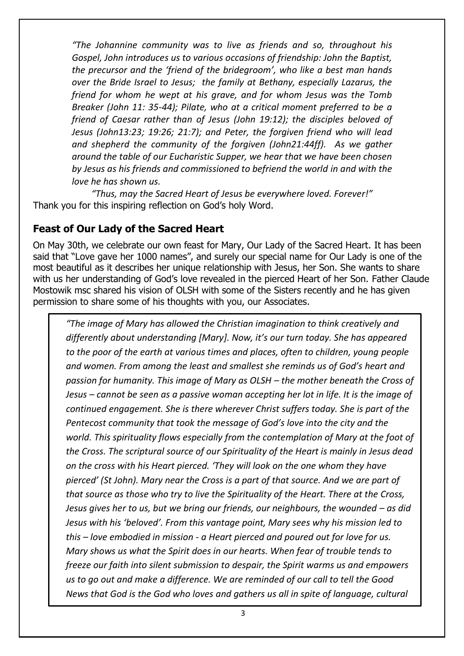*"The Johannine community was to live as friends and so, throughout his Gospel, John introduces us to various occasions of friendship: John the Baptist, the precursor and the 'friend of the bridegroom', who like a best man hands over the Bride Israel to Jesus; the family at Bethany, especially Lazarus, the friend for whom he wept at his grave, and for whom Jesus was the Tomb Breaker (John 11: 35-44); Pilate, who at a critical moment preferred to be a friend of Caesar rather than of Jesus (John 19:12); the disciples beloved of Jesus (John13:23; 19:26; 21:7); and Peter, the forgiven friend who will lead and shepherd the community of the forgiven (John21:44ff). As we gather around the table of our Eucharistic Supper, we hear that we have been chosen by Jesus as his friends and commissioned to befriend the world in and with the love he has shown us.*

*"Thus, may the Sacred Heart of Jesus be everywhere loved. Forever!"* Thank you for this inspiring reflection on God's holy Word.

### **Feast of Our Lady of the Sacred Heart**

On May 30th, we celebrate our own feast for Mary, Our Lady of the Sacred Heart. It has been said that "Love gave her 1000 names", and surely our special name for Our Lady is one of the most beautiful as it describes her unique relationship with Jesus, her Son. She wants to share with us her understanding of God's love revealed in the pierced Heart of her Son. Father Claude Mostowik msc shared his vision of OLSH with some of the Sisters recently and he has given permission to share some of his thoughts with you, our Associates.

*"The image of Mary has allowed the Christian imagination to think creatively and differently about understanding [Mary]. Now, it's our turn today. She has appeared to the poor of the earth at various times and places, often to children, young people and women. From among the least and smallest she reminds us of God's heart and passion for humanity. This image of Mary as OLSH – the mother beneath the Cross of Jesus – cannot be seen as a passive woman accepting her lot in life. It is the image of continued engagement. She is there wherever Christ suffers today. She is part of the Pentecost community that took the message of God's love into the city and the world. This spirituality flows especially from the contemplation of Mary at the foot of the Cross. The scriptural source of our Spirituality of the Heart is mainly in Jesus dead on the cross with his Heart pierced. 'They will look on the one whom they have pierced' (St John). Mary near the Cross is a part of that source. And we are part of that source as those who try to live the Spirituality of the Heart. There at the Cross, Jesus gives her to us, but we bring our friends, our neighbours, the wounded – as did Jesus with his 'beloved'. From this vantage point, Mary sees why his mission led to this – love embodied in mission - a Heart pierced and poured out for love for us. Mary shows us what the Spirit does in our hearts. When fear of trouble tends to freeze our faith into silent submission to despair, the Spirit warms us and empowers us to go out and make a difference. We are reminded of our call to tell the Good News that God is the God who loves and gathers us all in spite of language, cultural*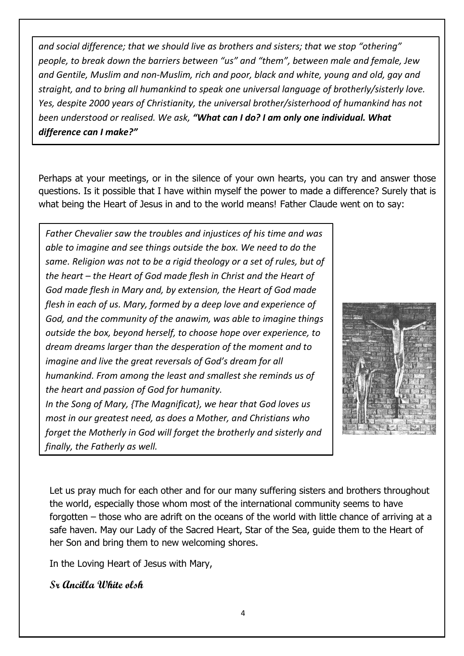*and social difference; that we should live as brothers and sisters; that we stop "othering" people, to break down the barriers between "us" and "them", between male and female, Jew and Gentile, Muslim and non-Muslim, rich and poor, black and white, young and old, gay and straight, and to bring all humankind to speak one universal language of brotherly/sisterly love. Yes, despite 2000 years of Christianity, the universal brother/sisterhood of humankind has not been understood or realised. We ask, "What can I do? I am only one individual. What difference can I make?"*

Perhaps at your meetings, or in the silence of your own hearts, you can try and answer those questions. Is it possible that I have within myself the power to made a difference? Surely that is what being the Heart of Jesus in and to the world means! Father Claude went on to say:

*Father Chevalier saw the troubles and injustices of his time and was able to imagine and see things outside the box. We need to do the same. Religion was not to be a rigid theology or a set of rules, but of the heart – the Heart of God made flesh in Christ and the Heart of God made flesh in Mary and, by extension, the Heart of God made flesh in each of us. Mary, formed by a deep love and experience of God, and the community of the anawim, was able to imagine things outside the box, beyond herself, to choose hope over experience, to dream dreams larger than the desperation of the moment and to imagine and live the great reversals of God's dream for all humankind. From among the least and smallest she reminds us of the heart and passion of God for humanity. In the Song of Mary, {The Magnificat}, we hear that God loves us* 

*most in our greatest need, as does a Mother, and Christians who forget the Motherly in God will forget the brotherly and sisterly and finally, the Fatherly as well.* 



Let us pray much for each other and for our many suffering sisters and brothers throughout the world, especially those whom most of the international community seems to have forgotten – those who are adrift on the oceans of the world with little chance of arriving at a safe haven. May our Lady of the Sacred Heart, Star of the Sea, guide them to the Heart of her Son and bring them to new welcoming shores.

In the Loving Heart of Jesus with Mary,

**Sr Ancilla White olsh**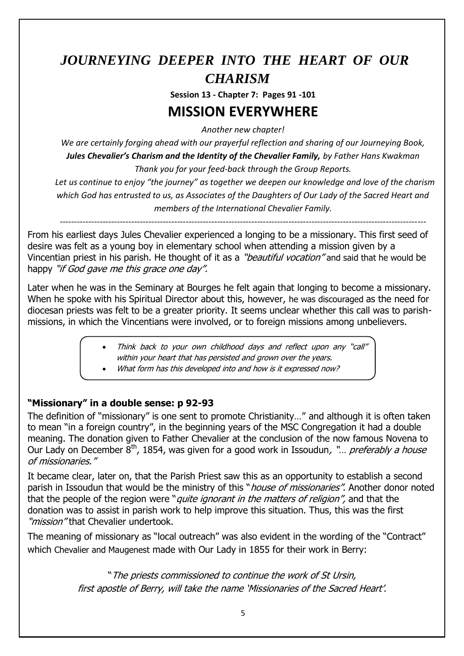## *JOURNEYING DEEPER INTO THE HEART OF OUR CHARISM*

**Session 13 - Chapter 7: Pages 91 -101**

## **MISSION EVERYWHERE**

*Another new chapter!*

*We are certainly forging ahead with our prayerful reflection and sharing of our Journeying Book, Jules Chevalier's Charism and the Identity of the Chevalier Family, by Father Hans Kwakman* 

*Thank you for your feed-back through the Group Reports.*

 *Let us continue to enjoy "the journey" as together we deepen our knowledge and love of the charism which God has entrusted to us, as Associates of the Daughters of Our Lady of the Sacred Heart and members of the International Chevalier Family.*

*--------------------------------------------------------------------------------------------------------------------------------*

From his earliest days Jules Chevalier experienced a longing to be a missionary. This first seed of desire was felt as a young boy in elementary school when attending a mission given by a Vincentian priest in his parish. He thought of it as a "*beautiful vocation*" and said that he would be happy "if God gave me this grace one day".

Later when he was in the Seminary at Bourges he felt again that longing to become a missionary. When he spoke with his Spiritual Director about this, however, he was discouraged as the need for diocesan priests was felt to be a greater priority. It seems unclear whether this call was to parishmissions, in which the Vincentians were involved, or to foreign missions among unbelievers.

- Think back to your own childhood days and reflect upon any "call" within your heart that has persisted and grown over the years.
- What form has this developed into and how is it expressed now?

### **"Missionary" in a double sense: p 92-93**

The definition of "missionary" is one sent to promote Christianity…" and although it is often taken to mean "in a foreign country", in the beginning years of the MSC Congregation it had a double meaning. The donation given to Father Chevalier at the conclusion of the now famous Novena to Our Lady on December  $8<sup>th</sup>$ , 1854, was given for a good work in Issoudun, "... preferably a house of missionaries."

It became clear, later on, that the Parish Priest saw this as an opportunity to establish a second parish in Issoudun that would be the ministry of this "*house of missionaries"*. Another donor noted that the people of the region were "*quite ignorant in the matters of religion"*, and that the donation was to assist in parish work to help improve this situation. Thus, this was the first "*mission"* that Chevalier undertook.

The meaning of missionary as "local outreach" was also evident in the wording of the "Contract" which Chevalier and Maugenest made with Our Lady in 1855 for their work in Berry:

> "The priests commissioned to continue the work of St Ursin, first apostle of Berry, will take the name 'Missionaries of the Sacred Heart'.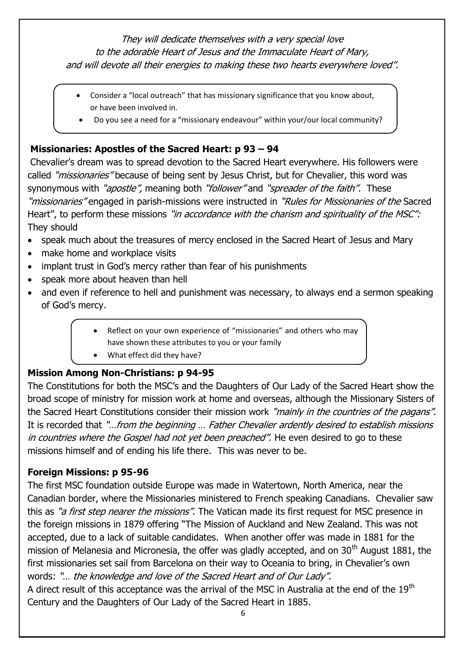They will dedicate themselves with a very special love to the adorable Heart of Jesus and the Immaculate Heart of Mary, and will devote all their energies to making these two hearts everywhere loved".

- Consider a "local outreach" that has missionary significance that you know about, or have been involved in.
- Do you see a need for a "missionary endeavour" within your/our local community?

## **Missionaries: Apostles of the Sacred Heart: p 93 – 94**

Chevalier's dream was to spread devotion to the Sacred Heart everywhere. His followers were called "*missionaries*" because of being sent by Jesus Christ, but for Chevalier, this word was synonymous with "*apostle"*, meaning both "*follower*" and "*spreader of the faith"*. These "missionaries" engaged in parish-missions were instructed in "Rules for Missionaries of the Sacred Heart", to perform these missions "in accordance with the charism and spirituality of the MSC": They should

- speak much about the treasures of mercy enclosed in the Sacred Heart of Jesus and Mary
- make home and workplace visits
- implant trust in God's mercy rather than fear of his punishments
- speak more about heaven than hell
- and even if reference to hell and punishment was necessary, to always end a sermon speaking of God's mercy.
	- Reflect on your own experience of "missionaries" and others who may have shown these attributes to you or your family
	- What effect did they have?

### **Mission Among Non-Christians: p 94-95**

The Constitutions for both the MSC's and the Daughters of Our Lady of the Sacred Heart show the broad scope of ministry for mission work at home and overseas, although the Missionary Sisters of the Sacred Heart Constitutions consider their mission work "mainly in the countries of the pagans". It is recorded that "…from the beginning … Father Chevalier ardently desired to establish missions in countries where the Gospel had not yet been preached". He even desired to go to these missions himself and of ending his life there. This was never to be.

### **Foreign Missions: p 95-96**

The first MSC foundation outside Europe was made in Watertown, North America, near the Canadian border, where the Missionaries ministered to French speaking Canadians. Chevalier saw this as "a first step nearer the missions". The Vatican made its first request for MSC presence in the foreign missions in 1879 offering "The Mission of Auckland and New Zealand. This was not accepted, due to a lack of suitable candidates. When another offer was made in 1881 for the mission of Melanesia and Micronesia, the offer was gladly accepted, and on 30<sup>th</sup> August 1881, the first missionaries set sail from Barcelona on their way to Oceania to bring, in Chevalier's own words: "… the knowledge and love of the Sacred Heart and of Our Lady".

A direct result of this acceptance was the arrival of the MSC in Australia at the end of the 19<sup>th</sup> Century and the Daughters of Our Lady of the Sacred Heart in 1885.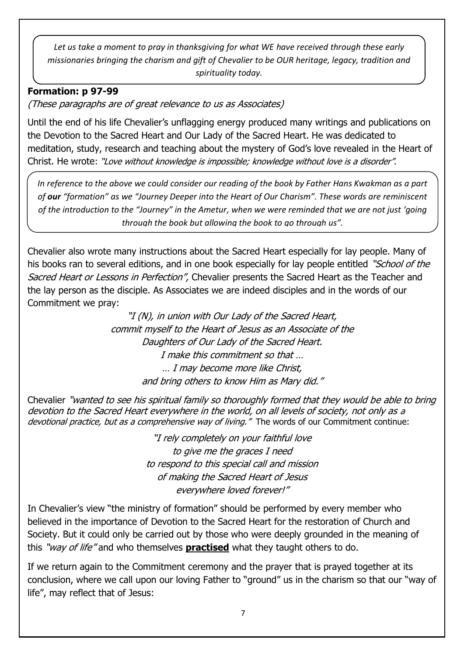*Let us take a moment to pray in thanksgiving for what WE have received through these early missionaries bringing the charism and gift of Chevalier to be OUR heritage, legacy, tradition and spirituality today.* 

### **Formation: p 97-99**

(These paragraphs are of great relevance to us as Associates)

Until the end of his life Chevalier's unflagging energy produced many writings and publications on the Devotion to the Sacred Heart and Our Lady of the Sacred Heart. He was dedicated to meditation, study, research and teaching about the mystery of God's love revealed in the Heart of Christ. He wrote: "Love without knowledge is impossible; knowledge without love is a disorder".

*In reference to the above we could consider our reading of the book by Father Hans Kwakman as a part of our "formation" as we "Journey Deeper into the Heart of Our Charism". These words are reminiscent of the introduction to the "Journey" in the Ametur, when we were reminded that we are not just 'going through the book but allowing the book to go through us".* 

Chevalier also wrote many instructions about the Sacred Heart especially for lay people. Many of his books ran to several editions, and in one book especially for lay people entitled "School of the Sacred Heart or Lessons in Perfection", Chevalier presents the Sacred Heart as the Teacher and the lay person as the disciple. As Associates we are indeed disciples and in the words of our Commitment we pray:

> "I (N), in union with Our Lady of the Sacred Heart, commit myself to the Heart of Jesus as an Associate of the Daughters of Our Lady of the Sacred Heart. I make this commitment so that … … I may become more like Christ, and bring others to know Him as Mary did."

Chevalier "wanted to see his spiritual family so thoroughly formed that they would b<sup>e</sup> able to bring devotion to the Sacred Heart everywhere in the world, on all levels of society, not only as <sup>a</sup> devotional practice, but as a comprehensive way of living." The words of our Commitment continue:

> "I rely completely on your faithful love to give me the graces I need to respond to this special call and mission of making the Sacred Heart of Jesus everywhere loved forever!"

In Chevalier's view "the ministry of formation" should be performed by every member who believed in the importance of Devotion to the Sacred Heart for the restoration of Church and Society. But it could only be carried out by those who were deeply grounded in the meaning of this "way of life" and who themselves **practised** what they taught others to do.

If we return again to the Commitment ceremony and the prayer that is prayed together at its conclusion, where we call upon our loving Father to "ground" us in the charism so that our "way of life", may reflect that of Jesus: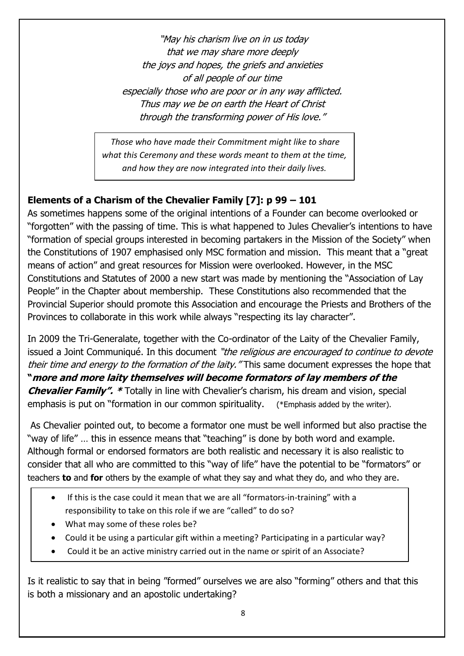"May his charism live on in us today that we may share more deeply the joys and hopes, the griefs and anxieties of all people of our time especially those who are poor or in any way afflicted. Thus may we be on earth the Heart of Christ through the transforming power of His love."

*Those who have made their Commitment might like to share what this Ceremony and these words meant to them at the time, and how they are now integrated into their daily lives.* 

## **Elements of a Charism of the Chevalier Family [7]: p 99 – 101**

As sometimes happens some of the original intentions of a Founder can become overlooked or "forgotten" with the passing of time. This is what happened to Jules Chevalier's intentions to have "formation of special groups interested in becoming partakers in the Mission of the Society" when the Constitutions of 1907 emphasised only MSC formation and mission. This meant that a "great means of action" and great resources for Mission were overlooked. However, in the MSC Constitutions and Statutes of 2000 a new start was made by mentioning the "Association of Lay People" in the Chapter about membership. These Constitutions also recommended that the Provincial Superior should promote this Association and encourage the Priests and Brothers of the Provinces to collaborate in this work while always "respecting its lay character".

In 2009 the Tri-Generalate, together with the Co-ordinator of the Laity of the Chevalier Family, issued a Joint Communiqué. In this document "the religious are encouraged to continue to devote their time and energy to the formation of the laity. "This same document expresses the hope that **"more and more laity themselves will become formators of lay members of the Chevalier Family".** \* Totally in line with Chevalier's charism, his dream and vision, special emphasis is put on "formation in our common spirituality. (\*Emphasis added by the writer).

As Chevalier pointed out, to become a formator one must be well informed but also practise the "way of life" … this in essence means that "teaching" is done by both word and example. Although formal or endorsed formators are both realistic and necessary it is also realistic to consider that all who are committed to this "way of life" have the potential to be "formators" or teachers **to** and **for** others by the example of what they say and what they do, and who they are.

- If this is the case could it mean that we are all "formators-in-training" with a responsibility to take on this role if we are "called" to do so?
- What may some of these roles be?
- Could it be using a particular gift within a meeting? Participating in a particular way?
- Could it be an active ministry carried out in the name or spirit of an Associate?

Is it realistic to say that in being "formed" ourselves we are also "forming" others and that this is both a missionary and an apostolic undertaking?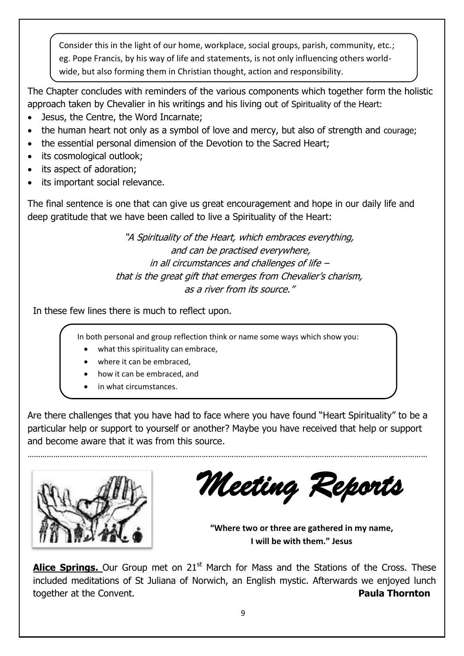Consider this in the light of our home, workplace, social groups, parish, community, etc.; eg. Pope Francis, by his way of life and statements, is not only influencing others world wide, but also forming them in Christian thought, action and responsibility.

The Chapter concludes with reminders of the various components which together form the holistic approach taken by Chevalier in his writings and his living out of Spirituality of the Heart:

- Jesus, the Centre, the Word Incarnate;
- the human heart not only as a symbol of love and mercy, but also of strength and courage;
- the essential personal dimension of the Devotion to the Sacred Heart;
- its cosmological outlook;
- its aspect of adoration;
- its important social relevance.

The final sentence is one that can give us great encouragement and hope in our daily life and deep gratitude that we have been called to live a Spirituality of the Heart:

> "A Spirituality of the Heart, which embraces everything, and can be practised everywhere, in all circumstances and challenges of life – that is the great gift that emerges from Chevalier's charism, as a river from its source."

In these few lines there is much to reflect upon.

In both personal and group reflection think or name some ways which show you:

- what this spirituality can embrace,
- where it can be embraced,
- how it can be embraced, and
- in what circumstances.

Are there challenges that you have had to face where you have found "Heart Spirituality" to be a particular help or support to yourself or another? Maybe you have received that help or support and become aware that it was from this source.

……………………………………………………………………………………………………………………………………………………………………



*Meeting Reports*

**"Where two or three are gathered in my name, I will be with them." Jesus** 

**Alice Springs.** Our Group met on 21<sup>st</sup> March for Mass and the Stations of the Cross. These included meditations of St Juliana of Norwich, an English mystic. Afterwards we enjoyed lunch together at the Convent. **Paula Thornton**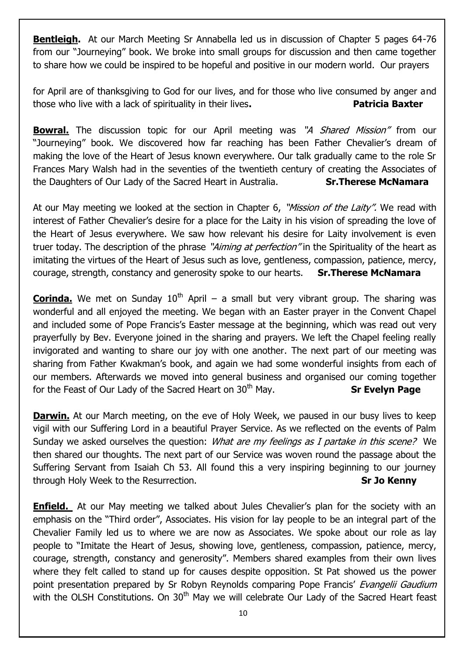**Bentleigh.** At our March Meeting Sr Annabella led us in discussion of Chapter 5 pages 64-76 from our "Journeying" book. We broke into small groups for discussion and then came together to share how we could be inspired to be hopeful and positive in our modern world. Our prayers

for April are of thanksgiving to God for our lives, and for those who live consumed by anger and those who live with a lack of spirituality in their lives**. Patricia Baxter**

**Bowral.** The discussion topic for our April meeting was "A Shared Mission" from our "Journeying" book. We discovered how far reaching has been Father Chevalier's dream of making the love of the Heart of Jesus known everywhere. Our talk gradually came to the role Sr Frances Mary Walsh had in the seventies of the twentieth century of creating the Associates of the Daughters of Our Lady of the Sacred Heart in Australia. **Sr.Therese McNamara**

At our May meeting we looked at the section in Chapter 6, "Mission of the Laity". We read with interest of Father Chevalier's desire for a place for the Laity in his vision of spreading the love of the Heart of Jesus everywhere. We saw how relevant his desire for Laity involvement is even truer today. The description of the phrase "Aiming at perfection" in the Spirituality of the heart as imitating the virtues of the Heart of Jesus such as love, gentleness, compassion, patience, mercy, courage, strength, constancy and generosity spoke to our hearts. **Sr.Therese McNamara**

**Corinda.** We met on Sunday 10<sup>th</sup> April – a small but very vibrant group. The sharing was wonderful and all enjoyed the meeting. We began with an Easter prayer in the Convent Chapel and included some of Pope Francis's Easter message at the beginning, which was read out very prayerfully by Bev. Everyone joined in the sharing and prayers. We left the Chapel feeling really invigorated and wanting to share our joy with one another. The next part of our meeting was sharing from Father Kwakman's book, and again we had some wonderful insights from each of our members. Afterwards we moved into general business and organised our coming together for the Feast of Our Lady of the Sacred Heart on 30<sup>th</sup> May. **Sr Evelyn Page** 

**Darwin.** At our March meeting, on the eve of Holy Week, we paused in our busy lives to keep vigil with our Suffering Lord in a beautiful Prayer Service. As we reflected on the events of Palm Sunday we asked ourselves the question: *What are my feelings as I partake in this scene?* We then shared our thoughts. The next part of our Service was woven round the passage about the Suffering Servant from Isaiah Ch 53. All found this a very inspiring beginning to our journey through Holy Week to the Resurrection. **Sr Jo Kenny** 

**Enfield.** At our May meeting we talked about Jules Chevalier's plan for the society with an emphasis on the "Third order", Associates. His vision for lay people to be an integral part of the Chevalier Family led us to where we are now as Associates. We spoke about our role as lay people to "Imitate the Heart of Jesus, showing love, gentleness, compassion, patience, mercy, courage, strength, constancy and generosity". Members shared examples from their own lives where they felt called to stand up for causes despite opposition. St Pat showed us the power point presentation prepared by Sr Robyn Reynolds comparing Pope Francis' Evangelii Gaudium with the OLSH Constitutions. On 30<sup>th</sup> May we will celebrate Our Lady of the Sacred Heart feast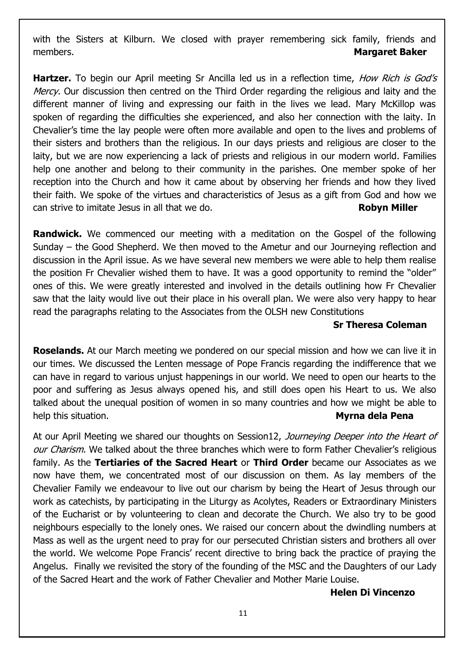with the Sisters at Kilburn. We closed with prayer remembering sick family, friends and members. **Margaret Baker**

**Hartzer.** To begin our April meeting Sr Ancilla led us in a reflection time, *How Rich is God's* Mercy. Our discussion then centred on the Third Order regarding the religious and laity and the different manner of living and expressing our faith in the lives we lead. Mary McKillop was spoken of regarding the difficulties she experienced, and also her connection with the laity. In Chevalier's time the lay people were often more available and open to the lives and problems of their sisters and brothers than the religious. In our days priests and religious are closer to the laity, but we are now experiencing a lack of priests and religious in our modern world. Families help one another and belong to their community in the parishes. One member spoke of her reception into the Church and how it came about by observing her friends and how they lived their faith. We spoke of the virtues and characteristics of Jesus as a gift from God and how we can strive to imitate Jesus in all that we do. **Robyn Miller** 

**Randwick.** We commenced our meeting with a meditation on the Gospel of the following Sunday – the Good Shepherd. We then moved to the Ametur and our Journeying reflection and discussion in the April issue. As we have several new members we were able to help them realise the position Fr Chevalier wished them to have. It was a good opportunity to remind the "older" ones of this. We were greatly interested and involved in the details outlining how Fr Chevalier saw that the laity would live out their place in his overall plan. We were also very happy to hear read the paragraphs relating to the Associates from the OLSH new Constitutions

#### **Sr Theresa Coleman**

**Roselands.** At our March meeting we pondered on our special mission and how we can live it in our times. We discussed the Lenten message of Pope Francis regarding the indifference that we can have in regard to various unjust happenings in our world. We need to open our hearts to the poor and suffering as Jesus always opened his, and still does open his Heart to us. We also talked about the unequal position of women in so many countries and how we might be able to help this situation. **Myrna dela Pena**

At our April Meeting we shared our thoughts on Session12, Journeying Deeper into the Heart of our Charism. We talked about the three branches which were to form Father Chevalier's religious family. As the **Tertiaries of the Sacred Heart** or **Third Order** became our Associates as we now have them, we concentrated most of our discussion on them. As lay members of the Chevalier Family we endeavour to live out our charism by being the Heart of Jesus through our work as catechists, by participating in the Liturgy as Acolytes, Readers or Extraordinary Ministers of the Eucharist or by volunteering to clean and decorate the Church. We also try to be good neighbours especially to the lonely ones. We raised our concern about the dwindling numbers at Mass as well as the urgent need to pray for our persecuted Christian sisters and brothers all over the world. We welcome Pope Francis' recent directive to bring back the practice of praying the Angelus. Finally we revisited the story of the founding of the MSC and the Daughters of our Lady of the Sacred Heart and the work of Father Chevalier and Mother Marie Louise.

#### **Helen Di Vincenzo**